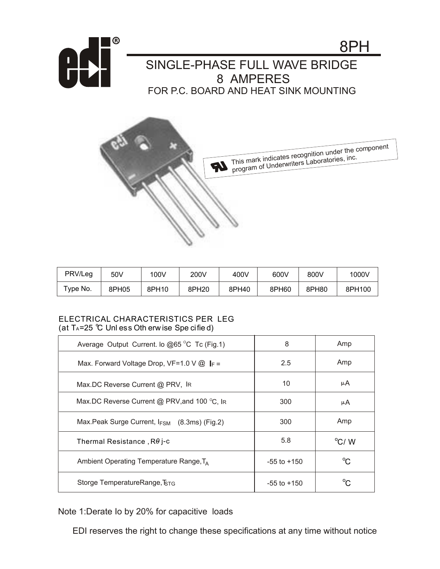



| PRV/Leg        | 50V   | 100V  | 200V  | 400V  | 600V  | 800V  | 1000V  |
|----------------|-------|-------|-------|-------|-------|-------|--------|
| $\tau$ vpe No. | 8PH05 | 8PH10 | 8PH20 | 8PH40 | 8PH60 | 8PH80 | 8PH100 |

## ELECTRICAL CHARACTERISTICS PER LEG (at  $T_A = 25$  °C Unless Oth erw ise Spe cified)

| Average Output Current. lo @65 °C Tc (Fig.1)            | 8               | Amp            |  |
|---------------------------------------------------------|-----------------|----------------|--|
| Max. Forward Voltage Drop, VF=1.0 V $@$ $\parallel$ F = | 2.5             | Amp            |  |
| Max.DC Reverse Current @ PRV, IR                        | 10              | μA             |  |
| Max.DC Reverse Current @ PRV, and 100 °C, IR            | 300             | μA             |  |
| Max.Peak Surge Current, IFSM (8.3ms) (Fig.2)            | 300             | Amp            |  |
| Thermal Resistance, $R\theta$ j-c                       | 5.8             | $\rm ^{o}C/$ W |  |
| Ambient Operating Temperature Range, $T_A$              | $-55$ to $+150$ | $^{\circ}$ C   |  |
| Storge TemperatureRange, IstG                           | $-55$ to $+150$ | ∽              |  |

Note 1:Derate Io by 20% for capacitive loads

EDI reserves the right to change these specifications at any time without notice